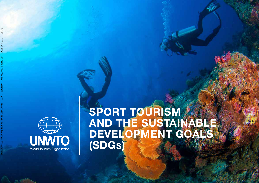

## **SPORT TOURISM AND THE SUSTAINABLE DEVELOPMENT GOALS (SDGs)**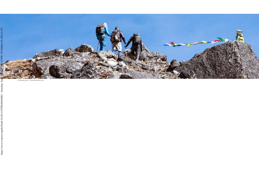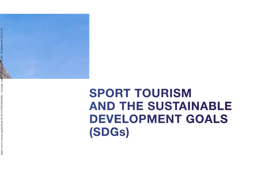

# **SPORT TOURISM AND THE SUSTAINABLE DEVELOPMENT GOALS (SDGs)**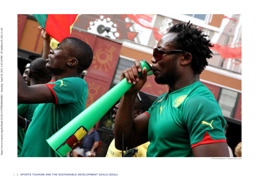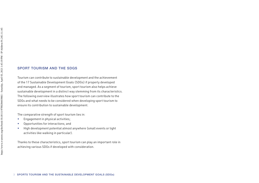#### SPORT TOURISM AND THE SDGS

Tourism can contribute to sustainable development and the achievement of the 17 Sustainable Development Goals (SDGs) if properly developed and managed. As a segment of tourism, sport tourism also helps achieve sustainable development in a distinct way stemming from its characteristics. The following overview illustrates how sport tourism can contribute to the SDGs and what needs to be considered when developing sport tourism to ensure its contribution to sustainable development.

The comparative strength of sport tourism lies in:

- ▬ Engagement in physical activities;
- ▬ Opportunities for interactions; and
- High development potential almost anywhere (small events or light activities like walking in particular).

Thanks to these characteristics, sport tourism can play an important role in achieving various SDGs if developed with consideration.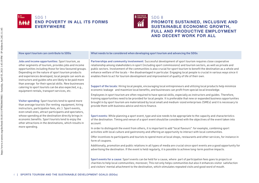![](_page_5_Picture_0.jpeg)

![](_page_5_Picture_1.jpeg)

#### SDG 8

## **PROMOTE SUSTAINED, INCLUSIVE AND SUSTAINABLE ECONOMIC GROWTH, FULL AND PRODUCTIVE EMPLOYMENT AND DECENT WORK FOR ALL**

Jobs and income opportunities: Sport tourism, as other segments of tourism, provides jobs and income opportunities including those for less favoured groups. Depending on the nature of sport tourism products and experiences developed, local people can work as instructors and guides who are likely to be paid more than average for their special skills. New businesses catering to sport tourists can be also expected, e.g., equipment rentals, transport services, etc.

Visitor spending: Sport tourists tend to spend more than average tourists (for renting equipment, hiring instructors, participation fees, etc.). Sport events, even small ones, attract participants and spectators, whose spending at the destination directly brings in economic benefits. Sport tourists tend to enjoy the other attractions in the destinations, which results in more spending.

How sport tourism can contribute to SDGs What needs to be considered when developing sport tourism and advancing the SDGs

Partnerships and community involvement: Successful development of sport tourism requires close cooperative relationship among stakeholders in sport (including sport commissions) and tourism sectors, as well as private and public sectors. Involvement of the communities is also crucial for sport tourism to benefit the destination as a whole and enhance welfare of the locals – the disadvantaged in particular. Engaging local people is crucial in various ways since it enables them to act for tourism development and improvement of quality of life of their own.

Support of the locals: Hiring local people, encouraging local entrepreneurs and utilizing local products help minimize economic leakage and maximize local benefits; and businesses can profit from special local knowledge.

Employees in sport tourism are often required to have special skills, especially as instructors and guides. Therefore, training opportunities need to be provided for local people. It is preferable that new or expanded business opportunities brought in by sport tourism are materialized by local small and medium-sized enterprises (SMEs) and it is necessary to provide them with business advice and micro finance.

Sport events: While planning a sport event, type and size needs to be appropriate to the capacity and characteristics of the destination. Timing and venue of a sport event should be considered with the objectives of the event taken into account.

In order to distinguish the event from others, it is important to add "local flavours": for example, combining sport activities with local culture and gastronomy and offering an opportunity to interact with local communities.

Offer incentives to participants and tourists to spend more at local shops, restaurants and other services, for instance in form of coupons.

Additionally, promotion and public relations in all types of media are crucial since sport events are a good opportunity for advertising the destination. If the event is held regularly, it is possible to achieve long-term positive impacts.

Sport events for a cause: Sport events can be held for a cause, where part of participation fees goes to projects or charities to help local communities; moreover, This not only helps communities but also it enhances visitor satisfaction and visitors' mental attachment to the destination, which stimulates repeated visits and good word of mouth.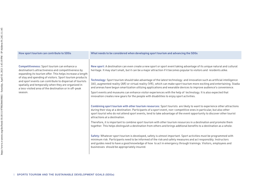| How sport tourism can contribute to SDGs                                                                                                                                                                                                                                                                                                                                                                                   | What needs to be considered when developing sport tourism and advancing the SDGs                                                                                                                                                                                                                                                                                                                                                                                                                                                                                                                                                                                                                                                                                                                                                                                                                                                                                                                                                                                                                                                                                                                                                                                                                                                                                                                                                                                                                                                                                                                                                                                                                                                                                                                                                                                                                                    |
|----------------------------------------------------------------------------------------------------------------------------------------------------------------------------------------------------------------------------------------------------------------------------------------------------------------------------------------------------------------------------------------------------------------------------|---------------------------------------------------------------------------------------------------------------------------------------------------------------------------------------------------------------------------------------------------------------------------------------------------------------------------------------------------------------------------------------------------------------------------------------------------------------------------------------------------------------------------------------------------------------------------------------------------------------------------------------------------------------------------------------------------------------------------------------------------------------------------------------------------------------------------------------------------------------------------------------------------------------------------------------------------------------------------------------------------------------------------------------------------------------------------------------------------------------------------------------------------------------------------------------------------------------------------------------------------------------------------------------------------------------------------------------------------------------------------------------------------------------------------------------------------------------------------------------------------------------------------------------------------------------------------------------------------------------------------------------------------------------------------------------------------------------------------------------------------------------------------------------------------------------------------------------------------------------------------------------------------------------------|
| <b>Competitiveness:</b> Sport tourism can enhance a<br>destination's attractiveness and competitiveness by<br>expanding its tourism offer. This helps increase a length<br>of stay and spending of visitors. Sport tourism products<br>and sport events can contribute to dispersal of tourists<br>spatially and temporally when they are organized in<br>a less-visited area of the destination or in off-peak<br>season. | New sport: A destination can even create a new sport or sport event taking advantage of its unique natural and cultural<br>heritage. It may start small, but it can be a major attraction if it becomes popular to visitors and residents alike.<br>Technology: Sport tourism should take advantage of the latest technology and innovation such as artificial intelligence<br>(AI), augmented reality (AR) or virtual reality (VR), which can make sport tourism more exciting and entertaining. Stadia<br>and arenas have begun smartization utilizing applications and wearable devices to improve audience's convenience.<br>Sport events and museums can enhance visitor experiences with the help of technology. It is also expected that<br>innovation creates new gears for the people with disabilities to enjoy sport activities.<br>Combining sport tourism with other tourism resources: Sport tourists are likely to want to experience other attractions<br>during their stay at a destination. Participants of a sport event, non-competitive ones in particular, but also other<br>sport tourist who do not attend sport events, tend to take advantage of the event opportunity to discover other tourist<br>attractions at a destination.<br>Therefore, it is important to combine sport tourism with other tourism resources in a destination and promote them<br>together. This helps distinguish a destination from others and brings addtional benefits to a destination as a whole.<br>Safety: Whatever sport tourism is developed, safety is utmost important. Sport activities must be programmed with<br>minimum risk. Participants need to be informed of the risk and safety measures and act responsibly. Instructors<br>and guides need to have a good knowledge of how to act in emergency through trainings. Visitors, employees and<br>businesses should be appropriately insured. |

5 SPORTS TOURISM AND THE SUSTAINABLE DEVELOPMENT GOALS (SDGs)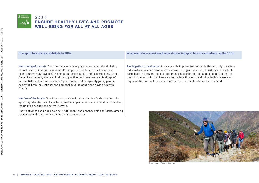![](_page_7_Picture_0.jpeg)

#### SDG 3 **ENSURE HEALTHY LIVES AND PROMOTE WELL-BEING FOR ALL AT ALL AGES**

Well-being of tourists: Sport tourism enhances physical and mental well-being of participants; it helps maintain and/or improve their health. Participants of sport tourism may have positive emotions associated to their experience such as fun and excitement, a sense of fellowship with other travellers, and feelings of accomplishment and self-esteem. Sport tourism helps espacilly young people achieving both educational and personal development while having fun with friends.

Welfare of the locals: Sport tourism provides local residents of a destination with sport opportunities which can have positive impacts on residents and tourists alike, leading to a healthy and active lifestyle.

Sport activities can bring about self-fulfillment and enhance self-confidence among local people, through which the locals are empowered.

How sport tourism can contribute to SDGs What needs to be considered when developing sport tourism and advancing the SDGs

Participation of residents: It is preferable to promote sport activities not only to visitors but also local residents for health and well-being of their own. If visitors and residents participate in the same sport programmes, it also brings about good opportunities for them to interact, which enhance visitor satisfaction and local pride. In this sense, sport opportunities for the locals and sport tourism can be developed hand in hand.

![](_page_7_Picture_8.jpeg)

© Alexbrylov | Dreamstime.com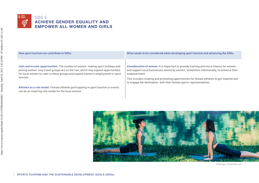![](_page_8_Picture_0.jpeg)

| How sport tourism can contribute to SDGs                                                                                                                                                                                                                        | What needs to be considered when developing sport tourism and advancing the SDGs                                                                                                                                                                                                                                                                                       |
|-----------------------------------------------------------------------------------------------------------------------------------------------------------------------------------------------------------------------------------------------------------------|------------------------------------------------------------------------------------------------------------------------------------------------------------------------------------------------------------------------------------------------------------------------------------------------------------------------------------------------------------------------|
| Jobs and income opportunities: The number of women making sport holidays and<br>joining women-only travel groups are on the rise, which may expand opportunities<br>for local women to cater to these groups and expand women's employment in sport<br>tourism. | Consideration of women: It is important to provide training and micro finance for women<br>and support local businesses owned by women, sometimes intentionally, to enhance their<br>empowerment.<br>This includes creating and promoting opportunities for female athletes to get inspired and<br>to engage the destination with their female sports representatives. |
| Athletes as a role model: Female athletes participating in sport tourism or events<br>can be an inspiring role model for the local women.                                                                                                                       |                                                                                                                                                                                                                                                                                                                                                                        |

![](_page_8_Picture_2.jpeg)

© Microgen | Dreamstime.com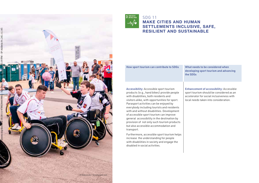![](_page_9_Picture_0.jpeg)

![](_page_9_Picture_1.jpeg)

#### SDG 11 **MAKE CITIES AND HUMAN SETTLEMENTS INCLUSIVE, SAFE, RESILIENT AND SUSTAINABLE**

How sport tourism can contribute to SDGs What needs to be considered when

developing sport tourism and advancing the SDGs

Accessibility: Accessible sport tourism products (e.g., hand bikes) provide people with disabilities, both residents and visitors alike, with opportunities for sport. Parasport activities can be enjoyed by everybody including tourists and residents with and without disabilities. Development of accessible sport tourism can improve general accessibility in the destination by provision of not only such tourism products but also accessible accommodation and transport.

Furthermore, accessible sport tourism helps increase the understanding for people with disabilities in society and engage the disabled in social activities.

Enhancement of accessibility: Accessible sport tourism should be considered as an accelerator for social inclusiveness with local needs taken into consideration.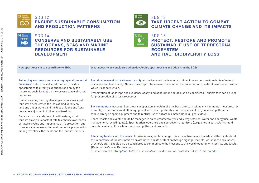![](_page_10_Picture_0.jpeg)

14 или мнэ

 $\sum_{i=1}^{\infty}$ 

### SDG 12 **ENSURE SUSTAINABLE CONSUMPTION AND PRODUCTION PATTERNS**

SDG 14

## **CONSERVE AND SUSTAINABLY USE THE OCEANS, SEAS AND MARINE RESOURCES FOR SUSTAINABLE DEVELOPMENT**

![](_page_10_Picture_4.jpeg)

#### SDG 13

**TAKE URGENT ACTION TO COMBAT CLIMATE CHANGE AND ITS IMPACTS**

![](_page_10_Picture_7.jpeg)

SDG 15 **PROTECT, RESTORE AND PROMOTE SUSTAINABLE USE OF TERRESTRIAL ECOSYSTEM AND HALT BIODIVERSITY LOSS**

| How sport tourism can contribute to SDGs                                                                                                                                                                                                                                                                                                                                                                                                                                                                                                                                                                                                                                                                                                                 | What needs to be considered when developing sport tourism and advancing the SDGs                                                                                                                                                                                                                                                                                                                                                                                                                                                                                                                                                                                                                                                                                                                                                                                                                                                                                                                                                                                                                     |
|----------------------------------------------------------------------------------------------------------------------------------------------------------------------------------------------------------------------------------------------------------------------------------------------------------------------------------------------------------------------------------------------------------------------------------------------------------------------------------------------------------------------------------------------------------------------------------------------------------------------------------------------------------------------------------------------------------------------------------------------------------|------------------------------------------------------------------------------------------------------------------------------------------------------------------------------------------------------------------------------------------------------------------------------------------------------------------------------------------------------------------------------------------------------------------------------------------------------------------------------------------------------------------------------------------------------------------------------------------------------------------------------------------------------------------------------------------------------------------------------------------------------------------------------------------------------------------------------------------------------------------------------------------------------------------------------------------------------------------------------------------------------------------------------------------------------------------------------------------------------|
| <b>Enhancing awareness and encouraging environmental</b><br>measures: Nature-based sport tourism provides<br>opportunities to directly experience and enjoy the<br>nature. As such, it relies on the very presence of natural<br>resources.<br>Global warming has negative impacts on snow sport<br>tourism; it accelerated the loss of biodiversity on<br>land and under water; and the loss of fauna and flora<br>degrades enjoyment of hiking and trekking.<br>Because its close relationship with nature, sport<br>tourism plays an important role to enhance awareness<br>of nature's value and importance of its protection, and<br>to encourage measures for environmental preservation<br>among travellers, the locals and the tourism industry. | Sustainable use of natural resources: Sport tourism must be developed taking into account sustainability of natural<br>resources and biodiversity. Nature-based sport tourism must champion the preservation of natural environment without<br>which it cannot sustain.<br>Preservation of landscape and avoidance of any kind of pollution should also be considered. Tourism fees can be used<br>for preservation of natural resources.<br>Environmental measures: Sport tourism operators should make the best efforts in taking environmental measures: for<br>example, to use motors and other equipment with less - preferably no - emissions of CO2, noise and pollutants,<br>to reuse/recycle sport equipment and to restrict use of hazardous materials (e.g., pesticides).<br>Sport resorts and events should be managed in an environmentally friendly way (efficient water and energy use, waste<br>management, recycling, etc.). Sport tourism operators and sport event organizers (large ones in particular) should<br>consider sustainability while choosing suppliers and products. |
|                                                                                                                                                                                                                                                                                                                                                                                                                                                                                                                                                                                                                                                                                                                                                          | Educating tourists and the locals: Tourism is an agent for change. It is crucial to educate tourists and the locals about<br>the importance of the destination's environment and its protection through signage, leaflets, workshops and classes<br>at school, etc. It should also be considered to communicate the message to the world together with tourists and locals.<br>(Refer to the Cancun Declaration:                                                                                                                                                                                                                                                                                                                                                                                                                                                                                                                                                                                                                                                                                     |
|                                                                                                                                                                                                                                                                                                                                                                                                                                                                                                                                                                                                                                                                                                                                                          | https://www.cbd.int/cop/cop-13/hls/in-session/cancun-declaration-draft-dec-03-2016-pm-en.pdf.)                                                                                                                                                                                                                                                                                                                                                                                                                                                                                                                                                                                                                                                                                                                                                                                                                                                                                                                                                                                                       |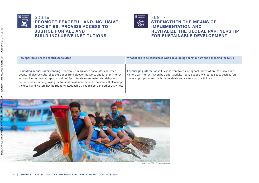![](_page_11_Picture_0.jpeg)

#### SDG 16 **PROMOTE PEACEFUL AND INCLUSIVE SOCIETIES, PROVIDE ACCESS TO JUSTICE FOR ALL AND BUILD INCLUSIVE INSTITUTIONS**

![](_page_11_Picture_2.jpeg)

Promoting mutual understanding: Sport tourism provides encounters between people of diverse cultural backgrounds from all over the world and let them interact with each other through sport activities. Sport tourism can foster friendship and mutual understanding, laying the foundation of more peaceful societies. It also helps the locals and visitors having friendly relationship through sport and other activities.

How sport tourism can contribute to SDGs What needs to be considered when developing sport tourism and advancing the SDGs

Encouraging interactions: It is important to ensure opportunities where the locals and visitors can interact; it can be a sport activity itself, a specially created space such as fan zones or programmes that both residents and visitors can participate.

![](_page_11_Picture_7.jpeg)

© Chaiyon021 | Dreamstime.com

https://www.e-unwto.org/doi/book/10.18111/9789284419661 - Saturday, April 03, 2021 1:45:19 PM - IP Address:91.245.11.145

- Saturday, April 03, 2021 1:45:19 PM - IP Address:91.245.11.145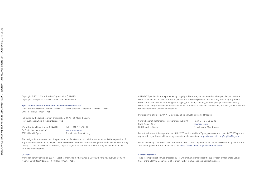Copyright © 2019, World Tourism Organization (UNWTO) Copyright cover photo: © Avisual2009 | Dreamstime.com

#### Sport Tourism and the Sustainable Development Goals (SDGs)

ISBN, printed version: 978-92-844-1965-4 | ISBN, electronic version: 978-92-844-1966-1 DOI: 10.18111/9789284419661

Published by the World Tourism Organization (UNWTO), Madrid, Spain. First published: 2020 | All rights reserved.

World Tourism Organization (UNWTO) Tel.: (+34) 915 67 81 00 C/ Poeta Joan Maragall, 42 www.unwto.org 28020 Madrid, Spain E-mail: info @ unwto.org

The designations employed and the presentation of material in this publication do not imply the expression of any opinions whatsoever on the part of the Secretariat of the World Tourism Organization (UNWTO) concerning the legal status of any country, territory, city or area, or of its authorities or concerning the delimitation of its frontiers or boundaries.

#### Citation:

World Tourism Organization (2019), *Sport Tourism and the Sustainable Development Goals (SDGs),* UNWTO, Madrid, DOI: https://doi.org/10.18111/9789284419661.

All UNWTO publications are protected by copyright. Therefore, and unless otherwise specified, no part of a UNWTO publication may be reproduced, stored in a retrieval system or utilized in any form or by any means, electronic or mechanical, including photocopying, microfilm, scanning, without prior permission in writing. UNWTO encourages dissemination of its work and is pleased to consider permissions, licensing, and translation requests related to UNWTO publications.

Permission to photocopy UNWTO material in Spain must be obtained through:

Centro Español de Derechos Reprográficos (CEDRO) Tel.: (+34) 913 08 63 30 Calle Alcalá, 26, 3º www.cedro.org 28014 Madrid, Spain E-mail: cedro @ cedro.org

For authorization of the reproduction of UNWTO works outside of Spain, please contact one of CEDRO's partner organizations, with which bilateral agreements are in place (see: https://www.cedro.org/english?lng=en).

For all remaining countries as well as for other permissions, requests should be addressed directly to the World Tourism Organization. For applications see: https://www.unwto.org/unwto-publications.

#### Acknowledgments:

The present publication was prepared by Mr Shuichi Kameyama under the supervision of Ms Sandra Carvão, Chief of the UNWTO Department of Tourism Market Intelligence and Competitiveness.